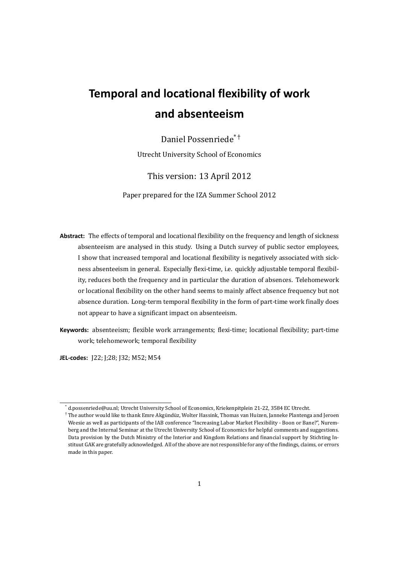# **Temporal and locational flexibility of work and absenteeism**

## Daniel Possenriede\* †

Utrecht University School of Economics

## This version: 13 April 2012

Paper prepared for the IZA Summer School 2012

- **Abstract:** The effects of temporal and locational flexibility on the frequency and length of sickness absenteeism are analysed in this study. Using a Dutch survey of public sector employees, I show that increased temporal and locational flexibility is negatively associated with sickness absenteeism in general. Especially flexi-time, i.e. quickly adjustable temporal flexibility, reduces both the frequency and in particular the duration of absences. Telehomework or locational flexibility on the other hand seems to mainly affect absence frequency but not absence duration. Long-term temporal flexibility in the form of part-time work finally does not appear to have a significant impact on absenteeism.
- **Keywords:** absenteeism; flexible work arrangements; flexi-time; locational flexibility; part-time work; telehomework; temporal flexibility

**JEL-codes:** J22; J;28; J32; M52; M54

<sup>\*</sup> d.possenriede@uu.nl; Utrecht University School of Economics, Kriekenpitplein 21-22, 3584 EC Utrecht.

<sup>†</sup> The author would like to thank Emre Akgündüz, Wolter Hassink, Thomas van Huizen, Janneke Plantenga and Jeroen Weesie as well as participants of the IAB conference "Increasing Labor Market Flexibility - Boon or Bane?", Nuremberg and the Internal Seminar at the Utrecht University School of Economics for helpful comments and suggestions. Data provision by the Dutch Ministry of the Interior and Kingdom Relations and financial support by Stichting Instituut GAK are gratefully acknowledged. All of the above are not responsible for any of the findings, claims, or errors made in this paper.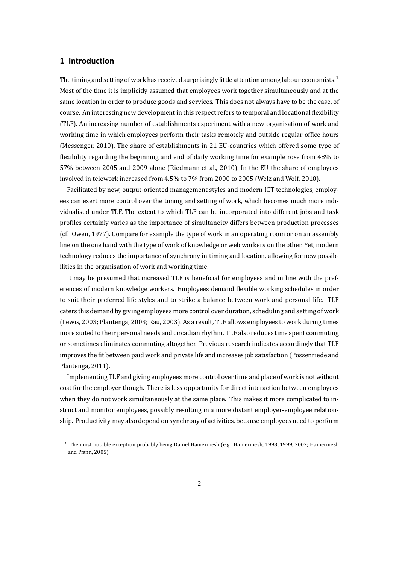## **1 Introduction**

The timing and setting of work has received surprisingly little attention among labour economists.<sup>1</sup> Most of the time it is implicitly assumed that employees work together simultaneously and at the same location in order to produce goods and services. This does not always have to be the case, of course. An interesting new development in this respect refers to temporal and locational flexibilit[y](#page-1-0) (TLF). An increasing number of establishments experiment with a new organisation of work and working time in which employees perform their tasks remotely and outside regular office hours (Messenger, 2010). The share of establishments in 21 EU-countries which offered some type of flexibility regarding the beginning and end of daily working time for example rose from 48% to 57% between 2005 and 2009 alone (Riedmann et al., 2010). In the EU the share of employees involved int[elewo](#page-18-0)rk increased from 4.5% to 7% from 2000 to 2005 (Welz and Wolf, 2010).

Facilitated by new, output-oriented management styles and modern ICT technologies, employees can exert more control over the timing and setting [of wo](#page-19-0)rk, which becomes much more individualised under TLF. The extent to which TLF can be incorporated into different [jobs a](#page-19-1)nd task profiles certainly varies as the importance of simultaneity differs between production processes (cf. Owen, 1977). Compare for example the type of work in an operating room or on an assembly line on the one hand with the type of work of knowledge or web workers on the other. Yet, modern technology reduces the importance of synchrony in timing and location, allowing for new possibilities in th[e orga](#page-18-1)nisation of work and working time.

It may be presumed that increased TLF is beneficial for employees and in line with the preferences of modern knowledge workers. Employees demand flexible working schedules in order to suit their preferred life styles and to strike a balance between work and personal life. TLF caters this demand by giving employees more control over duration, scheduling and setting of work (Lewis, 2003; Plantenga, 2003; Rau, 2003). As a result, TLF allows employees to work during times more suited to their personal needs and circadian rhythm. TLF also reduces time spent commuting or sometimes eliminates commuting altogether. Previous research indicates accordingly that TLF improv[es the](#page-18-2) fit between [paid w](#page-18-3)ork [and pr](#page-19-2)ivate life and increases job satisfaction (Possenriede and Plantenga, 2011).

Implementing TLF and giving employees more control over time and place of work is not without cost for the employer though. There is less opportunity for direct interaction between employees when they [do no](#page-18-4)t work simultaneously at the same place. This makes it more complicated to instruct and monitor employees, possibly resulting in a more distant employer-employee relationship. Productivity may also depend on synchrony of activities, because employees need to perform

<span id="page-1-0"></span><sup>&</sup>lt;sup>1</sup> The most notable exception probably being Daniel Hamermesh (e.g. Hamermesh, 1998, 1999, 2002; Hamermesh and Pfann, 2005)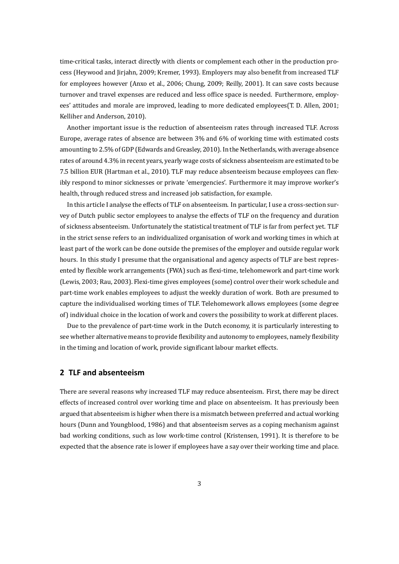time-critical tasks, interact directly with clients or complement each other in the production process (Heywood and Jirjahn, 2009; Kremer, 1993). Employers may also benefit from increased TLF for employees however (Anxo et al., 2006; Chung, 2009; Reilly, 2001). It can save costs because turnover and travel expenses are reduced and less office space is needed. Furthermore, employees' attitudes and morale a[re im](#page-17-0)proved,l[eading](#page-18-5) to more dedicated employees(T. D. Allen, 2001; Kelliher and Anderson, 2010).

Another important issue is the reduction of absenteeism rates through increased TLF. Across Europe, average rates of absence are between 3% and 6% of working time with estimate[d costs](#page-15-0) amounting to 2.5% of G[DP \(Ed](#page-17-1)wards and Greasley, 2010). In the Netherlands, with average absence rates of around 4.3% in recent years, yearly wage costs of sickness absenteeism are estimated to be 7.5 billion EUR (Hartman et al., 2010). TLF may reduce absenteeism because employees can flexibly respond to minor sicknesses or private 'eme[rgenci](#page-16-0)es'. Furthermore it may improve worker's health, through reduced stress and increased job satisfaction, for example.

In this article I analyse the eff[ects o](#page-17-2)f TLF on absenteeism. In particular, I use a cross-section survey of Dutch public sector employees to analyse the effects of TLF on the frequency and duration of sickness absenteeism. Unfortunately the statistical treatment of TLF is far from perfect yet. TLF in the strict sense refers to an individualized organisation of work and working times in which at least part of the work can be done outside the premises of the employer and outside regular work hours. In this study I presume that the organisational and agency aspects of TLF are best represented by flexible work arrangements (FWA) such as flexi-time, telehomework and part-time work (Lewis, 2003; Rau, 2003). Flexi-time gives employees (some) control over their work schedule and part-time work enables employees to adjust the weekly duration of work. Both are presumed to capture the individualised working times of TLF. Telehomework allows employees (some degree of) indi[vidua](#page-18-2)l choi[ce in t](#page-19-2)he location of work and covers the possibility to work at different places.

Due to the prevalence of part-time work in the Dutch economy, it is particularly interesting to see whether alternative means to provide flexibility and autonomy to employees, namely flexibility in the timing and location of work, provide significant labour market effects.

#### **2 TLF and absenteeism**

There are several reasons why increased TLF may reduce absenteeism. First, there may be direct effects of increased control over working time and place on absenteeism. It has previously been argued that absenteeism is higher when there is a mismatch between preferred and actual working hours (Dunn and Youngblood, 1986) and that absenteeism serves as a coping mechanism against bad working conditions, such as low work-time control (Kristensen, 1991). It is therefore to be expected that the absence rate is lower if employees have a say over their working time and place.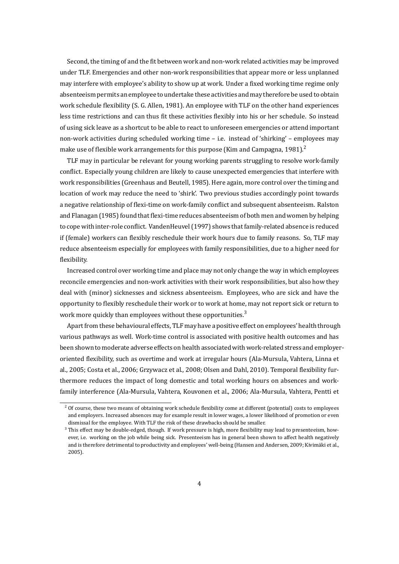Second, the timing of and the fit between work and non-work related activities may be improved under TLF. Emergencies and other non-work responsibilities that appear more or less unplanned may interfere with employee's ability to show up at work. Under a fixed working time regime only absenteeism permits an employee to undertake these activities and may therefore be used to obtain work schedule flexibility (S. G. Allen, 1981). An employee with TLF on the other hand experiences less time restrictions and can thus fit these activities flexibly into his or her schedule. So instead of using sick leave as a shortcut to be able to react to unforeseen emergencies or attend important non-work activities during schedule[d wor](#page-15-1)king time – i.e. instead of 'shirking' – employees may make use of flexible work arrangements for this purpose (Kim and Campagna, 1981).<sup>2</sup>

TLF may in particular be relevant for young working parents struggling to resolve work-family conflict. Especially young children are likely to cause unexpected emergencies that interfere with work responsibilities (Greenhaus and Beutell, 1985). Here again, more control [over t](#page-17-3)[he](#page-3-0) timing and location of work may reduce the need to 'shirk'. Two previous studies accordingly point towards a negative relationship of flexi-time on work-family conflict and subsequent absenteeism. Ralston and Flanagan (1985) found that flexi-time red[uces ab](#page-16-1)senteeism of both men and women by helping to cope with inter-role conflict. VandenHeuvel (1997) shows that family-related absence is reduced if (female) workers can flexibly reschedule their work hours due to family reasons. So, TLF may reduce absent[eeism](#page-19-3) especially for employees with family responsibilities, due to a higher need for flexibility.

Increased control over working time and place may not only change the way in which employees reconcile emergencies and non-work activities with their work responsibilities, but also how they deal with (minor) sicknesses and sickness absenteeism. Employees, who are sick and have the opportunity to flexibly reschedule their work or to work at home, may not report sick or return to work more quickly than employees without these opportunities. $3$ 

Apart from these behavioural effects, TLF may have a positive effect on employees' health through various pathways as well. Work-time control is associated with positive health outcomes and has been shown to moderate adverse effects on health associated wit[h w](#page-3-1)ork-related stress and employeroriented flexibility, such as overtime and work at irregular hours (Ala-Mursula, Vahtera, Linna et al., 2005; Costa et al., 2006; Grzywacz et al., 2008; Olsen and Dahl, 2010). Temporal flexibility furthermore reduces the impact of long domestic and total working hours on absences and workfamily interference (Ala-Mursula, Vahtera, Kouvonen et al., 2006; Ala-Mursula, Vahtera, Pentti et

 $2$  [Of cour](#page-15-2)se, these two [means o](#page-15-3)f obtaining work sc[hedule](#page-17-4) flexibility come at di[fferent](#page-18-6) (potential) costs to employees and employers. Increased absences may for example result in lower wages, a lower likelihood of promotion or even dismissal for the employee. With TLF the risk of these drawbacks sho[uld be](#page-15-4) smaller.

<span id="page-3-1"></span><span id="page-3-0"></span><sup>&</sup>lt;sup>3</sup> This effect may be double-edged, though. If work pressure is high, more flexibility may lead to presenteeism, however, i.e. working on the job while being sick. Presenteeism has in general been shown to affect health negatively and is therefore detrimental to productivity and employees' well-being (Hansen and Andersen, 2009; Kivimäki et al., 2005).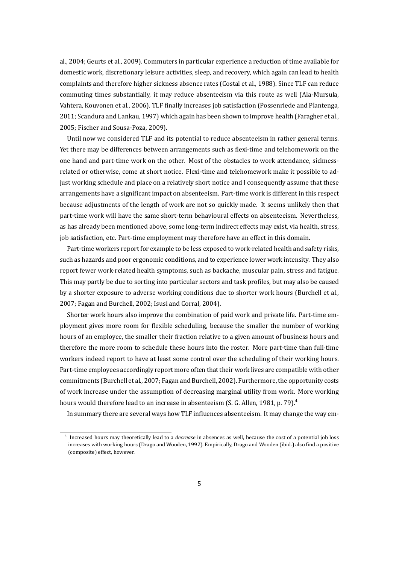al., 2004; Geurts et al., 2009). Commuters in particular experience a reduction of time available for domestic work, discretionary leisure activities, sleep, and recovery, which again can lead to health complaints and therefore higher sickness absence rates (Costal et al., 1988). Since TLF can reduce co[mmuti](#page-15-5)ng times sub[stanti](#page-16-2)ally, it may reduce absenteeism via this route as well (Ala-Mursula, Vahtera, Kouvonen et al., 2006). TLF finally increases job satisfaction (Possenriede and Plantenga, 2011; Scandura and Lankau, 1997) which again has been shown to im[prove](#page-15-6) health (Faragher et al., 2005; Fischer and Sousa-Poza, 2009).

Until now we conside[red TL](#page-15-4)F and its potential to reduce absenteeism in rather general terms. [Yet th](#page-18-4)ere may be differences [betw](#page-19-4)een arrangements such as flexi-time and telehomework on the [one h](#page-16-3)and and part-time work [on the](#page-16-4) other. Most of the obstacles to work attendance, sicknessrelated or otherwise, come at short notice. Flexi-time and telehomework make it possible to adjust working schedule and place on a relatively short notice and I consequently assume that these arrangements have a significant impact on absenteeism. Part-time work is different in this respect because adjustments of the length of work are not so quickly made. It seems unlikely then that part-time work will have the same short-term behavioural effects on absenteeism. Nevertheless, as has already been mentioned above, some long-term indirect effects may exist, via health, stress, job satisfaction, etc. Part-time employment may therefore have an effect in this domain.

Part-time workers report for example to be less exposed to work-related health and safety risks, such as hazards and poor ergonomic conditions, and to experience lower work intensity. They also report fewer work-related health symptoms, such as backache, muscular pain, stress and fatigue. This may partly be due to sorting into particular sectors and task profiles, but may also be caused by a shorter exposure to adverse working conditions due to shorter work hours (Burchell et al., 2007; Fagan and Burchell, 2002; Isusi and Corral, 2004).

Shorter work hours also improve the combination of paid work and private life. Part-time employment gives more room for flexible scheduling, because the smaller the number of working [hours](#page-15-7) of an employee, the [small](#page-16-5)er their fractionr[elativ](#page-17-5)e to a given amount of business hours and therefore the more room to schedule these hours into the roster. More part-time than full-time workers indeed report to have at least some control over the scheduling of their working hours. Part-time employees accordingly report more often that their work lives are compatible with other commitments (Burchell et al., 2007; Fagan and Burchell, 2002). Furthermore, the opportunity costs of work increase under the assumption of decreasing marginal utility from work. More working hours would therefore lead to an increase in absenteeism (S. G. Allen, 1981, p. 79). $^4$ 

In summary there are seve[ral wa](#page-15-7)ys how TLF influenc[es abs](#page-16-5)enteeism. It may change the way em-

<span id="page-4-0"></span><sup>4</sup> Increased hours may theoretically lead to a *decrease* in absences as well, beca[use the](#page-15-1) cost of [a p](#page-4-0)otential job loss increases with working hours (Drago and Wooden, 1992). Empirically, Drago and Wooden (ibid.) also find a positive (composite) effect, however.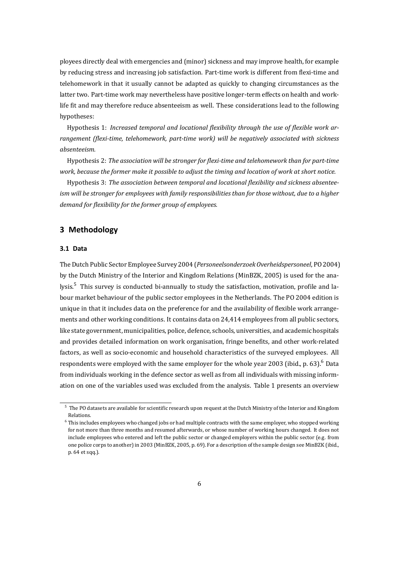ployees directly deal with emergencies and (minor) sickness and may improve health, for example by reducing stress and increasing job satisfaction. Part-time work is different from flexi-time and telehomework in that it usually cannot be adapted as quickly to changing circumstances as the latter two. Part-time work may nevertheless have positive longer-term effects on health and worklife fit and may therefore reduce absenteeism as well. These considerations lead to the following hypotheses:

Hypothesis 1: *Increased temporal and locational flexibility through the use of flexible work arrangement (flexi-time, telehomework, part-time work) will be negatively associated with sickness absenteeism.*

Hypothesis 2: *The association will be stronger for flexi-time and telehomework than for part-time work, because the former make it possible to adjust the timing and location of work at short notice.*

Hypothesis 3: *The association between temporal and locational flexibility and sickness absenteeism will be stronger for employees with family responsibilities than for those without, due to a higher demand for flexibility for the former group of employees.*

## **3 Methodology**

#### **3.1 Data**

The Dutch Public Sector Employee Survey 2004 (*Personeelsonderzoek Overheidspersoneel*, PO 2004) by the Dutch Ministry of the Interior and Kingdom Relations (MinBZK, 2005) is used for the analysis.<sup>5</sup> This survey is conducted bi-annually to study the satisfaction, motivation, profile and labour market behaviour of the public sector employees in the Netherlands. The PO 2004 edition is unique in that it includes data on the preference for and the availabilit[y of fle](#page-18-7)xible work arrangemen[ts](#page-5-0) and other working conditions. It contains data on 24,414 employees from all public sectors, like state government, municipalities, police, defence, schools, universities, and academic hospitals and provides detailed information on work organisation, fringe benefits, and other work-related factors, as well as socio-economic and household characteristics of the surveyed employees. All respondents were employed with the same employer for the whole year 2003 (ibid., p. 63).<sup>6</sup> Data from individuals working in the defence sector as well as from all individuals with missing information on one of the variables used was excluded from the analysis. Table 1 presents an overview

 $5$  The PO datasets are available for scientific research upon request at the Dutch Ministry of the Interior and Kingdom Relations.

<span id="page-5-0"></span><sup>6</sup> This includes employees who changed jobs or had multiple contracts with the same em[pl](#page-6-0)oyer, who stopped working for not more than three months and resumed afterwards, or whose number of working hours changed. It does not include employees who entered and left the public sector or changed employers within the public sector (e.g. from one police corps to another) in 2003 (MinBZK, 2005, p. 69). For a description of the sample design see MinBZK (ibid., p. 64 et sqq.).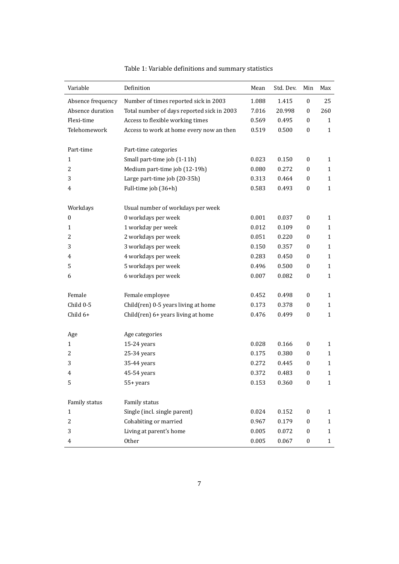<span id="page-6-0"></span>

| Variable          | Definition                                 | Mean  | Std. Dev. | Min              | Max          |
|-------------------|--------------------------------------------|-------|-----------|------------------|--------------|
| Absence frequency | Number of times reported sick in 2003      | 1.088 | 1.415     | $\boldsymbol{0}$ | 25           |
| Absence duration  | Total number of days reported sick in 2003 | 7.016 | 20.998    | $\mathbf{0}$     | 260          |
| Flexi-time        | Access to flexible working times           | 0.569 | 0.495     | $\bf{0}$         | 1            |
| Telehomework      | Access to work at home every now an then   | 0.519 | 0.500     | $\boldsymbol{0}$ | $\mathbf{1}$ |
|                   |                                            |       |           |                  |              |
| Part-time         | Part-time categories                       |       |           |                  |              |
| 1                 | Small part-time job (1-11h)                | 0.023 | 0.150     | $\mathbf{0}$     | $\mathbf{1}$ |
| 2                 | Medium part-time job (12-19h)              | 0.080 | 0.272     | $\bf{0}$         | 1            |
| 3                 | Large part-time job (20-35h)               | 0.313 | 0.464     | 0                | 1            |
| 4                 | Full-time job (36+h)                       | 0.583 | 0.493     | $\bf{0}$         | $\mathbf{1}$ |
|                   |                                            |       |           |                  |              |
| Workdays          | Usual number of workdays per week          |       |           |                  |              |
| $\boldsymbol{0}$  | 0 workdays per week                        | 0.001 | 0.037     | $\mathbf{0}$     | $\mathbf{1}$ |
| 1                 | 1 workday per week                         | 0.012 | 0.109     | 0                | $\mathbf{1}$ |
| 2                 | 2 workdays per week                        | 0.051 | 0.220     | 0                | 1            |
| 3                 | 3 workdays per week                        | 0.150 | 0.357     | $\bf{0}$         | $\mathbf{1}$ |
| 4                 | 4 workdays per week                        | 0.283 | 0.450     | $\bf{0}$         | $\mathbf{1}$ |
| 5                 | 5 workdays per week                        | 0.496 | 0.500     | $\boldsymbol{0}$ | $\mathbf{1}$ |
| 6                 | 6 workdays per week                        | 0.007 | 0.082     | $\boldsymbol{0}$ | $\mathbf{1}$ |
|                   |                                            |       |           |                  |              |
| Female            | Female employee                            | 0.452 | 0.498     | $\bf{0}$         | 1            |
| Child 0-5         | Child(ren) 0-5 years living at home        | 0.173 | 0.378     | $\boldsymbol{0}$ | $\mathbf{1}$ |
| Child 6+          | Child(ren) 6+ years living at home         | 0.476 | 0.499     | $\boldsymbol{0}$ | $\mathbf{1}$ |
|                   |                                            |       |           |                  |              |
| Age               | Age categories                             |       |           |                  |              |
| $\mathbf{1}$      | 15-24 years                                | 0.028 | 0.166     | $\bf{0}$         | $\mathbf{1}$ |
| 2                 | 25-34 years                                | 0.175 | 0.380     | 0                | $\mathbf{1}$ |
| 3                 | 35-44 years                                | 0.272 | 0.445     | 0                | $\mathbf{1}$ |
| 4                 | 45-54 years                                | 0.372 | 0.483     | $\boldsymbol{0}$ | $\mathbf{1}$ |
| 5                 | 55+ years                                  | 0.153 | 0.360     | $\boldsymbol{0}$ | $\mathbf{1}$ |
| Family status     | Family status                              |       |           |                  |              |
| $\mathbf{1}$      | Single (incl. single parent)               | 0.024 | 0.152     | $\boldsymbol{0}$ | $\mathbf{1}$ |
| $\overline{c}$    | Cohabiting or married                      | 0.967 | 0.179     | $\boldsymbol{0}$ | $\mathbf{1}$ |
| 3                 | Living at parent's home                    | 0.005 | 0.072     | $\boldsymbol{0}$ | $\mathbf{1}$ |
| 4                 | Other                                      | 0.005 | 0.067     | $\pmb{0}$        | $\mathbf{1}$ |
|                   |                                            |       |           |                  |              |

| Table 1: Variable definitions and summary statistics |  |  |  |  |  |  |  |
|------------------------------------------------------|--|--|--|--|--|--|--|
|------------------------------------------------------|--|--|--|--|--|--|--|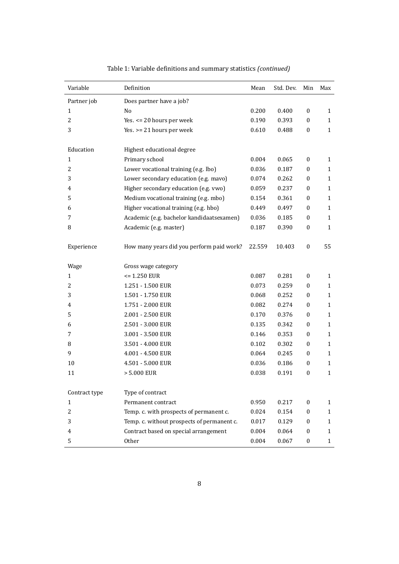| Variable       | Definition                                 | Mean   | Std. Dev. | Min              | Max          |
|----------------|--------------------------------------------|--------|-----------|------------------|--------------|
| Partner job    | Does partner have a job?                   |        |           |                  |              |
| $\mathbf{1}$   | No                                         | 0.200  | 0.400     | $\mathbf{0}$     | $\mathbf{1}$ |
| 2              | Yes. <= 20 hours per week                  | 0.190  | 0.393     | $\bf{0}$         | $\mathbf{1}$ |
| 3              | Yes. $>= 21$ hours per week                | 0.610  | 0.488     | $\boldsymbol{0}$ | $\mathbf{1}$ |
| Education      | Highest educational degree                 |        |           |                  |              |
| $\mathbf{1}$   | Primary school                             | 0.004  | 0.065     | $\bf{0}$         | $\mathbf{1}$ |
| $\overline{2}$ | Lower vocational training (e.g. lbo)       | 0.036  | 0.187     | $\boldsymbol{0}$ | $\mathbf{1}$ |
| 3              | Lower secondary education (e.g. mavo)      | 0.074  | 0.262     | $\boldsymbol{0}$ | $\mathbf{1}$ |
| 4              | Higher secondary education (e.g. vwo)      | 0.059  | 0.237     | $\mathbf{0}$     | 1            |
| 5              | Medium vocational training (e.g. mbo)      | 0.154  | 0.361     | $\boldsymbol{0}$ | $\mathbf{1}$ |
| 6              | Higher vocational training (e.g. hbo)      | 0.449  | 0.497     | $\bf{0}$         | 1            |
| 7              | Academic (e.g. bachelor kandidaatsexamen)  | 0.036  | 0.185     | $\bf{0}$         | $\mathbf{1}$ |
| 8              | Academic (e.g. master)                     | 0.187  | 0.390     | $\boldsymbol{0}$ | $\mathbf{1}$ |
| Experience     | How many years did you perform paid work?  | 22.559 | 10.403    | $\bf{0}$         | 55           |
| Wage           | Gross wage category                        |        |           |                  |              |
| $\mathbf{1}$   | $= 1.250$ EUR                              | 0.087  | 0.281     | $\mathbf{0}$     | $\mathbf{1}$ |
| 2              | 1.251 - 1.500 EUR                          | 0.073  | 0.259     | $\mathbf{0}$     | $\mathbf{1}$ |
| 3              | 1.501 - 1.750 EUR                          | 0.068  | 0.252     | $\boldsymbol{0}$ | $\mathbf{1}$ |
| 4              | 1.751 - 2.000 EUR                          | 0.082  | 0.274     | $\boldsymbol{0}$ | $\mathbf{1}$ |
| 5              | 2.001 - 2.500 EUR                          | 0.170  | 0.376     | $\boldsymbol{0}$ | 1            |
| 6              | 2.501 - 3.000 EUR                          | 0.135  | 0.342     | $\boldsymbol{0}$ | 1            |
| 7              | 3.001 - 3.500 EUR                          | 0.146  | 0.353     | $\mathbf{0}$     | 1            |
| 8              | 3.501 - 4.000 EUR                          | 0.102  | 0.302     | 0                | 1            |
| 9              | 4.001 - 4.500 EUR                          | 0.064  | 0.245     | $\boldsymbol{0}$ | $\mathbf{1}$ |
| 10             | 4.501 - 5.000 EUR                          | 0.036  | 0.186     | $\boldsymbol{0}$ | 1            |
| 11             | > 5.000 EUR                                | 0.038  | 0.191     | $\boldsymbol{0}$ | $\mathbf{1}$ |
| Contract type  | Type of contract                           |        |           |                  |              |
| 1              | Permanent contract                         | 0.950  | 0.217     | $\mathbf{0}$     | 1            |
| 2              | Temp. c. with prospects of permanent c.    | 0.024  | 0.154     | $\bf{0}$         | $\mathbf{1}$ |
| 3              | Temp. c. without prospects of permanent c. | 0.017  | 0.129     | $\bf{0}$         | 1            |
| 4              | Contract based on special arrangement      | 0.004  | 0.064     | $\bf{0}$         | 1            |
| 5              | Other                                      | 0.004  | 0.067     | $\boldsymbol{0}$ | $\mathbf{1}$ |

| Table 1: Variable definitions and summary statistics (continued) |  |
|------------------------------------------------------------------|--|
|                                                                  |  |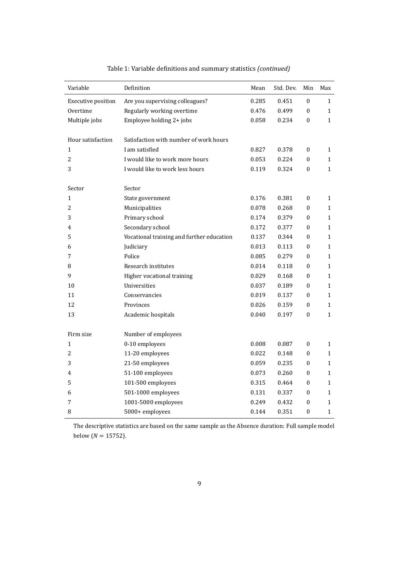| Variable           | Definition                                | Mean  | Std. Dev. | Min              | Max          |
|--------------------|-------------------------------------------|-------|-----------|------------------|--------------|
| Executive position | Are you supervising colleagues?           | 0.285 | 0.451     | $\boldsymbol{0}$ | $\mathbf{1}$ |
| Overtime           | Regularly working overtime                | 0.476 | 0.499     | 0                | $\mathbf{1}$ |
| Multiple jobs      | Employee holding 2+ jobs                  | 0.058 | 0.234     | $\boldsymbol{0}$ | $\mathbf{1}$ |
|                    |                                           |       |           |                  |              |
| Hour satisfaction  | Satisfaction with number of work hours    |       |           |                  |              |
| 1                  | I am satisfied                            | 0.827 | 0.378     | $\boldsymbol{0}$ | $\mathbf{1}$ |
| $\overline{c}$     | I would like to work more hours           | 0.053 | 0.224     | $\mathbf{0}$     | $\mathbf{1}$ |
| 3                  | I would like to work less hours           | 0.119 | 0.324     | $\boldsymbol{0}$ | $\mathbf{1}$ |
|                    |                                           |       |           |                  |              |
| Sector             | Sector                                    |       |           |                  |              |
| 1                  | State government                          | 0.176 | 0.381     | $\boldsymbol{0}$ | $\mathbf{1}$ |
| 2                  | Municipalities                            | 0.078 | 0.268     | $\boldsymbol{0}$ | $\mathbf{1}$ |
| 3                  | Primary school                            | 0.174 | 0.379     | $\boldsymbol{0}$ | 1            |
| 4                  | Secondary school                          | 0.172 | 0.377     | 0                | $\mathbf{1}$ |
| 5                  | Vocational training and further education | 0.137 | 0.344     | $\boldsymbol{0}$ | $\mathbf{1}$ |
| 6                  | Judiciary                                 | 0.013 | 0.113     | 0                | $\mathbf{1}$ |
| 7                  | Police                                    | 0.085 | 0.279     | $\boldsymbol{0}$ | $\mathbf{1}$ |
| 8                  | Research institutes                       | 0.014 | 0.118     | $\boldsymbol{0}$ | $\mathbf{1}$ |
| 9                  | Higher vocational training                | 0.029 | 0.168     | $\boldsymbol{0}$ | $\mathbf{1}$ |
| 10                 | Universities                              | 0.037 | 0.189     | $\boldsymbol{0}$ | $\mathbf{1}$ |
| 11                 | Conservancies                             | 0.019 | 0.137     | $\boldsymbol{0}$ | $\mathbf{1}$ |
| 12                 | Provinces                                 | 0.026 | 0.159     | 0                | $\mathbf{1}$ |
| 13                 | Academic hospitals                        | 0.040 | 0.197     | $\boldsymbol{0}$ | $\mathbf{1}$ |
|                    |                                           |       |           |                  |              |
| Firm size          | Number of employees                       |       |           |                  |              |
| $\mathbf{1}$       | 0-10 employees                            | 0.008 | 0.087     | $\boldsymbol{0}$ | $\mathbf{1}$ |
| $\overline{c}$     | 11-20 employees                           | 0.022 | 0.148     | $\boldsymbol{0}$ | $\mathbf{1}$ |
| 3                  | 21-50 employees                           | 0.059 | 0.235     | 0                | $\mathbf{1}$ |
| 4                  | 51-100 employees                          | 0.073 | 0.260     | $\theta$         | $\mathbf{1}$ |
| 5                  | 101-500 employees                         | 0.315 | 0.464     | 0                | $\mathbf{1}$ |
| 6                  | 501-1000 employees                        | 0.131 | 0.337     | 0                | $\mathbf{1}$ |
| 7                  | 1001-5000 employees                       | 0.249 | 0.432     | 0                | $\mathbf{1}$ |
| 8                  | 5000+ employees                           | 0.144 | 0.351     | $\mathbf{0}$     | $\mathbf{1}$ |

| Table 1: Variable definitions and summary statistics (continued) |  |  |
|------------------------------------------------------------------|--|--|
|------------------------------------------------------------------|--|--|

The descriptive statistics are based on the same sample as the Absence duration: Full sample model below ( $N = 15752$ ).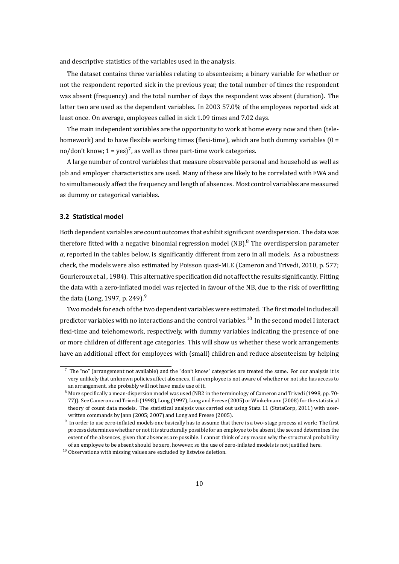and descriptive statistics of the variables used in the analysis.

The dataset contains three variables relating to absenteeism; a binary variable for whether or not the respondent reported sick in the previous year, the total number of times the respondent was absent (frequency) and the total number of days the respondent was absent (duration). The latter two are used as the dependent variables. In 2003 57.0% of the employees reported sick at least once. On average, employees called in sick 1.09 times and 7.02 days.

The main independent variables are the opportunity to work at home every now and then (telehomework) and to have flexible working times (flexi-time), which are both dummy variables (0 = no/don't know; 1 = yes) $^7$ , as well as three part-time work categories.

A large number of control variables that measure observable personal and household as well as job and employer characteristics are used. Many of these are likely to be correlated with FWA and to simultaneously affect [th](#page-9-0)e frequency and length of absences. Most control variables are measured as dummy or categorical variables.

#### **3.2 Statistical model**

Both dependent variables are count outcomes that exhibit significant overdispersion. The data was therefore fitted with a negative binomial regression model (NB). <sup>8</sup> The overdispersion parameter *α*, reported in the tables below, is significantly different from zero in all models. As a robustness check, the models were also estimated by Poisson quasi-MLE (Cameron and Trivedi, 2010, p. 577; Gourieroux et al., 1984). This alternative specification did not affe[ct](#page-9-1) the results significantly. Fitting the data with a zero-inflated model was rejected in favour of the NB, due to the risk of overfitting the data (Long, 1997, p. 249).<sup>9</sup>

Two models fo[r each](#page-16-7) of the two dependent variables were estimated. The first model includes all predictor variables with no interactions and the control variables.<sup>10</sup> In the second model I interact flexi-time andt[eleho](#page-18-8)mework[,](#page-9-2) respectively, with dummy variables indicating the presence of one or more children of different age categories. This will show us whether these work arrangements have an additional effect for employees with (small) children an[d r](#page-9-3)educe absenteeism by helping

 $<sup>7</sup>$  The "no" (arrangement not available) and the "don't know" categories are treated the same. For our analysis it is</sup> very unlikely that unknown policies affect absences. If an employee is not aware of whether or not she has access to an arrangement, she probably will not have made use of it.

<span id="page-9-0"></span><sup>&</sup>lt;sup>8</sup> More specifically a mean-dispersion model was used (NB2 in the terminology of Cameron and Trivedi (1998, pp. 70-77)). See Cameron and Trivedi (1998), Long (1997), Long and Freese (2005) orWinkelmann (2008) for the statistical theory of count data models. The statistical analysis was carried out using Stata 11 (StataCorp, 2011) with userwritten commands by Jann (2005; 2007) and Long and Freese (2005).

<span id="page-9-1"></span> $9\,$  In order to use zero-inflated models one basically has to assume that there is a two-stage process at work: The first process determines whether or [not it](#page-15-8) is struc[turally](#page-18-8) possible for an e[mploye](#page-18-9)e to be absent, th[e secon](#page-20-0)d determines the extent of the absences, given that absences are possible. I cannot think of any reason why the stru[ctural](#page-19-5) probability of an employee to be absent should be zero, however, so the us[e of ze](#page-18-9)ro-inflated models is not justified here.

<span id="page-9-3"></span><span id="page-9-2"></span> $^{\rm 10}$  Observations with missing values are excluded by listwise deletion.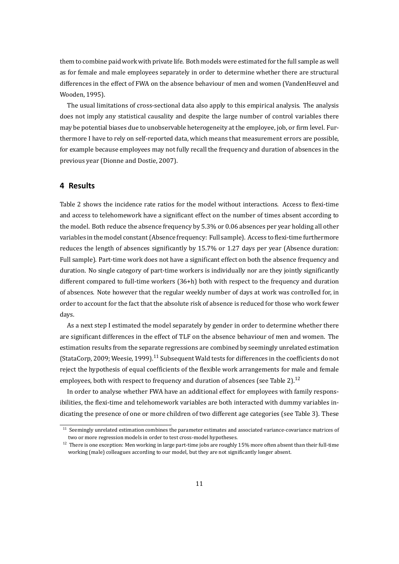them to combine paid work with private life. Both models were estimated for the full sample as well as for female and male employees separately in order to determine whether there are structural differences in the effect of FWA on the absence behaviour of men and women (VandenHeuvel and Wooden, 1995).

The usual limitations of cross-sectional data also apply to this empirical analysis. The analysis does not imply any statistical causality and despite the large number of control variables there may be p[otenti](#page-19-6)al biases due to unobservable heterogeneity at the employee, job, or firm level. Furthermore I have to rely on self-reported data, which means that measurement errors are possible, for example because employees may not fully recall the frequency and duration of absences in the previous year (Dionne and Dostie, 2007).

## **4 Results**

Table 2 shows the incidence rate ratios for the model without interactions. Access to flexi-time and access to telehomework have a significant effect on the number of times absent according to the model. Both reduce the absence frequency by 5.3% or 0.06 absences per year holding all other varia[ble](#page-11-0)s in the model constant (Absence frequency: Full sample). Access to flexi-time furthermore reduces the length of absences significantly by 15.7% or 1.27 days per year (Absence duration: Full sample). Part-time work does not have a significant effect on both the absence frequency and duration. No single category of part-time workers is individually nor are they jointly significantly different compared to full-time workers (36+h) both with respect to the frequency and duration of absences. Note however that the regular weekly number of days at work was controlled for, in order to account for the fact that the absolute risk of absence is reduced for those who work fewer days.

As a next step I estimated the model separately by gender in order to determine whether there are significant differences in the effect of TLF on the absence behaviour of men and women. The estimation results from the separate regressions are combined by seemingly unrelated estimation (StataCorp, 2009; Weesie, 1999).<sup>11</sup> Subsequent Wald tests for differences in the coefficients do not reject the hypothesis of equal coefficients of the flexible work arrangements for male and female employees, both with respect to frequency and duration of absences (see Table 2).<sup>12</sup>

In order [to ana](#page-19-7)lyse wh[ether F](#page-19-8)[WA](#page-10-0) have an additional effect for employees with family responsibilities, the flexi-time and telehomework variables are both interacted with dummy variables indicating the presence of one or more children of two different age categories (s[ee](#page-11-0) [Ta](#page-10-1)ble 3). These

 $11$  Seemingly unrelated estimation combines the parameter estimates and associated variance-covariance matrices of two or more regression models in order to test cross-model hypotheses.

<span id="page-10-1"></span><span id="page-10-0"></span> $12$  There is one exception: Men working in large part-time jobs are roughly 15% more often absent than th[eir](#page-13-0) full-time working (male) colleagues according to our model, but they are not significantly longer absent.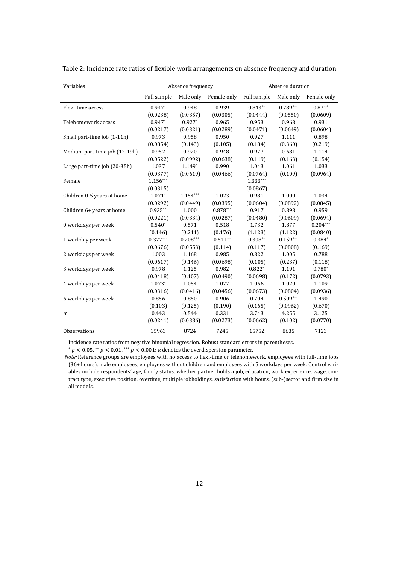| Variables                     |             | Absence frequency |             |             | Absence duration |             |
|-------------------------------|-------------|-------------------|-------------|-------------|------------------|-------------|
|                               | Full sample | Male only         | Female only | Full sample | Male only        | Female only |
| Flexi-time access             | $0.947*$    | 0.948             | 0.939       | $0.843**$   | $0.789***$       | $0.871*$    |
|                               | (0.0238)    | (0.0357)          | (0.0305)    | (0.0444)    | (0.0550)         | (0.0609)    |
| Telehomework access           | $0.947*$    | $0.927*$          | 0.965       | 0.953       | 0.968            | 0.931       |
|                               | (0.0217)    | (0.0321)          | (0.0289)    | (0.0471)    | (0.0649)         | (0.0604)    |
| Small part-time job (1-11h)   | 0.973       | 0.958             | 0.950       | 0.927       | 1.111            | 0.898       |
|                               | (0.0854)    | (0.143)           | (0.105)     | (0.184)     | (0.360)          | (0.219)     |
| Medium part-time job (12-19h) | 0.952       | 0.920             | 0.948       | 0.977       | 0.681            | 1.114       |
|                               | (0.0522)    | (0.0992)          | (0.0638)    | (0.119)     | (0.163)          | (0.154)     |
| Large part-time job (20-35h)  | 1.037       | $1.149*$          | 0.990       | 1.043       | 1.061            | 1.033       |
|                               | (0.0377)    | (0.0619)          | (0.0466)    | (0.0764)    | (0.109)          | (0.0964)    |
| Female                        | $1.156***$  |                   |             | 1.333***    |                  |             |
|                               | (0.0315)    |                   |             | (0.0867)    |                  |             |
| Children 0-5 years at home    | $1.071*$    | $1.154***$        | 1.023       | 0.981       | 1.000            | 1.034       |
|                               | (0.0292)    | (0.0449)          | (0.0395)    | (0.0604)    | (0.0892)         | (0.0845)    |
| Children 6+ years at home     | $0.935**$   | 1.000             | $0.878***$  | 0.917       | 0.898            | 0.959       |
|                               | (0.0221)    | (0.0334)          | (0.0287)    | (0.0480)    | (0.0609)         | (0.0694)    |
| 0 workdays per week           | $0.540*$    | 0.571             | 0.518       | 1.732       | 1.877            | $0.204***$  |
|                               | (0.146)     | (0.211)           | (0.176)     | (1.123)     | (1.122)          | (0.0840)    |
| 1 workday per week            | $0.377***$  | $0.208***$        | $0.511**$   | $0.308**$   | $0.159***$       | $0.384*$    |
|                               | (0.0676)    | (0.0553)          | (0.114)     | (0.117)     | (0.0808)         | (0.169)     |
| 2 workdays per week           | 1.003       | 1.168             | 0.985       | 0.822       | 1.005            | 0.788       |
|                               | (0.0617)    | (0.146)           | (0.0698)    | (0.105)     | (0.237)          | (0.118)     |
| 3 workdays per week           | 0.978       | 1.125             | 0.982       | $0.822*$    | 1.191            | $0.780*$    |
|                               | (0.0418)    | (0.107)           | (0.0490)    | (0.0698)    | (0.172)          | (0.0793)    |
| 4 workdays per week           | $1.073*$    | 1.054             | 1.077       | 1.066       | 1.020            | 1.109       |
|                               | (0.0316)    | (0.0416)          | (0.0456)    | (0.0673)    | (0.0804)         | (0.0936)    |
| 6 workdays per week           | 0.856       | 0.850             | 0.906       | 0.704       | $0.509***$       | 1.490       |
|                               | (0.103)     | (0.125)           | (0.190)     | (0.165)     | (0.0962)         | (0.670)     |
| $\alpha$                      | 0.443       | 0.544             | 0.331       | 3.743       | 4.255            | 3.125       |
|                               | (0.0241)    | (0.0386)          | (0.0273)    | (0.0662)    | (0.102)          | (0.0770)    |
| Observations                  | 15963       | 8724              | 7245        | 15752       | 8635             | 7123        |

<span id="page-11-0"></span>Table 2: Incidence rate ratios of flexible work arrangements on absence frequency and duration

Incidence rate ratios from negative binomial regression. Robust standard errors in parentheses.

 $* p < 0.05, ** p < 0.01,*** p < 0.001;$  a denotes the overdispersion parameter.

*Note:* Reference groups are employees with no access to flexi-time or telehomework, employees with full-time jobs (36+ hours), male employees, employees without children and employees with 5 workdays per week. Control variables include respondents' age, family status, whether partner holds a job, education, work experience, wage, contract type, executive position, overtime, multiple jobholdings, satisfaction with hours, (sub-)sector and firm size in all models.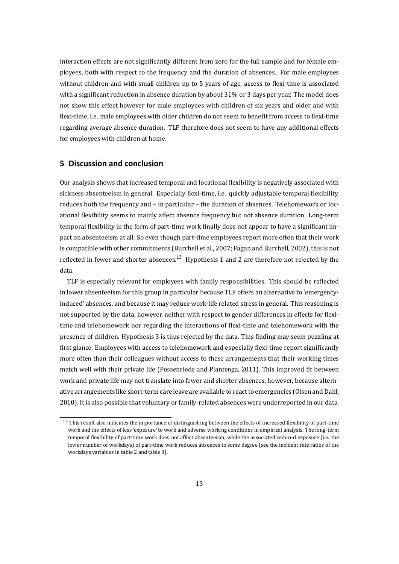interaction effects are not significantly different from zero for the full sample and for female employees, both with respect to the frequency and the duration of absences. For male employees without children and with small children up to 5 years of age, access to flexi-time is associated with a significant reduction in absence duration by about 31% or 3 days per year. The model does not show this effect however for male employees with children of six years and older and with flexi-time, i.e. male employees with older children do not seem to benefit from access to flexi-time regarding average absence duration. TLF therefore does not seem to have any additional effects for employees with children at home.

## **5 Discussion and conclusion**

Our analysis shows that increased temporal and locational flexibility is negatively associated with sickness absenteeism in general. Especially flexi-time, i.e. quickly adjustable temporal flexibility, reduces both the frequency and – in particular – the duration of absences. Telehomework or locational flexibility seems to mainly affect absence frequency but not absence duration. Long-term temporal flexibility in the form of part-time work finally does not appear to have a significant impact on absenteeism at all. So even though part-time employees report more often that their work is compatible with other commitments (Burchell et al., 2007; Fagan and Burchell, 2002), this is not reflected in fewer and shorter absences.<sup>13</sup> Hypothesis 1 and 2 are therefore not rejected by the data.

TLF is especially relevant for employees with famil[y resp](#page-15-7)onsibilities. This sh[ould b](#page-16-5)e reflected in lower absenteeism for this group in p[arti](#page-12-0)cular because TLF offers an alternative to 'emergencyinduced' absences, and because it may reduce work-life related stress in general. This reasoning is not supported by the data, however, neither with respect to gender differences in effects for flexitime and telehomework nor regarding the interactions of flexi-time and telehomework with the presence of children. Hypothesis 3 is thus rejected by the data. This finding may seem puzzling at first glance. Employees with access to telehomework and especially flexi-time report significantly more often than their colleagues without access to these arrangements that their working times match well with their private life (Possenriede and Plantenga, 2011). This improved fit between work and private life may not translate into fewer and shorter absences, however, because alternative arrangements like short-term care leave are available to react to emergencies (Olsen and Dahl, 2010). It is also possible that voluntary or family-related absenc[es wer](#page-18-4)e underreported in our data,

<span id="page-12-0"></span> $13$  This result also indicates the importance of distinguishing between the effects of increased flexibility of part-time work and the effects of less 'exposure' to work and adverse working conditions in empirical analysis. The long-term [tem](#page-18-6)poral flexibility of part-time work does not affect absenteeism, while the associated reduced exposure (i.e. the lower number of workdays) of part-time work reduces absences to some degree (see the incident rate ratios of the workdays variables in table 2 and table 3).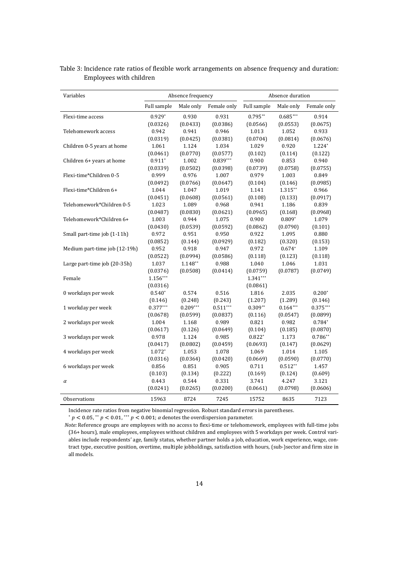| Variables                     |             | Absence frequency |             |             | Absence duration |             |
|-------------------------------|-------------|-------------------|-------------|-------------|------------------|-------------|
|                               | Full sample | Male only         | Female only | Full sample | Male only        | Female only |
| Flexi-time access             | $0.929*$    | 0.930             | 0.931       | $0.795**$   | $0.685***$       | 0.914       |
|                               | (0.0326)    | (0.0433)          | (0.0386)    | (0.0566)    | (0.0553)         | (0.0675)    |
| Telehomework access           | 0.942       | 0.941             | 0.946       | 1.013       | 1.052            | 0.933       |
|                               | (0.0319)    | (0.0425)          | (0.0381)    | (0.0704)    | (0.0814)         | (0.0676)    |
| Children 0-5 years at home    | 1.061       | 1.124             | 1.034       | 1.029       | 0.920            | 1.224*      |
|                               | (0.0461)    | (0.0770)          | (0.0577)    | (0.102)     | (0.114)          | (0.122)     |
| Children 6+ years at home     | $0.911*$    | 1.002             | $0.839***$  | 0.900       | 0.853            | 0.940       |
|                               | (0.0339)    | (0.0502)          | (0.0398)    | (0.0739)    | (0.0758)         | (0.0755)    |
| Flexi-time*Children 0-5       | 0.999       | 0.976             | 1.007       | 0.979       | 1.003            | 0.849       |
|                               | (0.0492)    | (0.0766)          | (0.0647)    | (0.104)     | (0.146)          | (0.0985)    |
| Flexi-time*Children 6+        | 1.044       | 1.047             | 1.019       | 1.141       | 1.315**          | 0.966       |
|                               | (0.0451)    | (0.0608)          | (0.0561)    | (0.108)     | (0.133)          | (0.0917)    |
| Telehomework*Children 0-5     | 1.023       | 1.089             | 0.968       | 0.941       | 1.186            | 0.839       |
|                               | (0.0487)    | (0.0830)          | (0.0621)    | (0.0965)    | (0.168)          | (0.0968)    |
| Telehomework*Children 6+      | 1.003       | 0.944             | 1.075       | 0.900       | $0.809*$         | 1.079       |
|                               | (0.0430)    | (0.0539)          | (0.0592)    | (0.0862)    | (0.0790)         | (0.101)     |
| Small part-time job (1-11h)   | 0.972       | 0.951             | 0.950       | 0.922       | 1.095            | 0.880       |
|                               | (0.0852)    | (0.144)           | (0.0929)    | (0.182)     | (0.320)          | (0.153)     |
| Medium part-time job (12-19h) | 0.952       | 0.918             | 0.947       | 0.972       | $0.674*$         | 1.109       |
|                               | (0.0522)    | (0.0994)          | (0.0586)    | (0.118)     | (0.123)          | (0.118)     |
| Large part-time job (20-35h)  | 1.037       | $1.148**$         | 0.988       | 1.040       | 1.046            | 1.031       |
|                               | (0.0376)    | (0.0508)          | (0.0414)    | (0.0759)    | (0.0787)         | (0.0749)    |
| Female                        | $1.156***$  |                   |             | $1.341***$  |                  |             |
|                               | (0.0316)    |                   |             | (0.0861)    |                  |             |
| 0 workdays per week           | $0.540*$    | 0.574             | 0.516       | 1.816       | 2.035            | $0.200*$    |
|                               | (0.146)     | (0.248)           | (0.243)     | (1.207)     | (1.289)          | (0.146)     |
| 1 workday per week            | $0.377***$  | $0.209***$        | $0.511***$  | $0.309**$   | $0.164***$       | $0.375***$  |
|                               | (0.0678)    | (0.0599)          | (0.0837)    | (0.116)     | (0.0547)         | (0.0899)    |
| 2 workdays per week           | 1.004       | 1.168             | 0.989       | 0.821       | 0.982            | $0.784*$    |
|                               | (0.0617)    | (0.126)           | (0.0649)    | (0.104)     | (0.185)          | (0.0870)    |
| 3 workdays per week           | 0.978       | 1.124             | 0.985       | $0.822*$    | 1.173            | $0.786**$   |
|                               | (0.0417)    | (0.0802)          | (0.0459)    | (0.0693)    | (0.147)          | (0.0629)    |
| 4 workdays per week           | 1.072*      | 1.053             | 1.078       | 1.069       | 1.014            | 1.105       |
|                               | (0.0316)    | (0.0364)          | (0.0420)    | (0.0669)    | (0.0590)         | (0.0770)    |
| 6 workdays per week           | 0.856       | 0.851             | 0.905       | 0.711       | $0.512**$        | 1.457       |
|                               | (0.103)     | (0.134)           | (0.222)     | (0.169)     | (0.124)          | (0.609)     |
| $\alpha$                      | 0.443       | 0.544             | 0.331       | 3.741       | 4.247            | 3.121       |
|                               | (0.0241)    | (0.0265)          | (0.0200)    | (0.0661)    | (0.0798)         | (0.0606)    |
| Observations                  | 15963       | 8724              | 7245        | 15752       | 8635             | 7123        |

<span id="page-13-0"></span>Table 3: Incidence rate ratios of flexible work arrangements on absence frequency and duration: Employees with children

Incidence rate ratios from negative binomial regression. Robust standard errors in parentheses.

 $* p < 0.05, ** p < 0.01,*** p < 0.001;$  a denotes the overdispersion parameter.

*Note:* Reference groups are employees with no access to flexi-time or telehomework, employees with full-time jobs (36+ hours), male employees, employees without children and employees with 5 workdays per week. Control variables include respondents' age, family status, whether partner holds a job, education, work experience, wage, contract type, executive position, overtime, multiple jobholdings, satisfaction with hours, (sub-)sector and firm size in all models.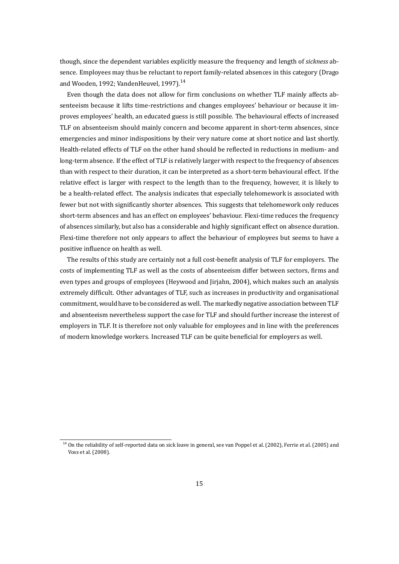though, since the dependent variables explicitly measure the frequency and length of *sickness* absence. Employees may thus be reluctant to report family-related absences in this category (Drago and Wooden, 1992; VandenHeuvel, 1997).<sup>14</sup>

Even though the data does not allow for firm conclusions on whether TLF mainly affects absenteeism because it lifts time-restrictions and changes employees' behaviour or because it improves empl[oyees'](#page-16-6) health, an educa[ted gu](#page-19-9)[ess](#page-14-0) is still possible. The behavioural effects of increased TLF on absenteeism should mainly concern and become apparent in short-term absences, since emergencies and minor indispositions by their very nature come at short notice and last shortly. Health-related effects of TLF on the other hand should be reflected in reductions in medium- and long-term absence. If the effect of TLF is relatively larger with respect to the frequency of absences than with respect to their duration, it can be interpreted as a short-term behavioural effect. If the relative effect is larger with respect to the length than to the frequency, however, it is likely to be a health-related effect. The analysis indicates that especially telehomework is associated with fewer but not with significantly shorter absences. This suggests that telehomework only reduces short-term absences and has an effect on employees' behaviour. Flexi-time reduces the frequency of absences similarly, but also has a considerable and highly significant effect on absence duration. Flexi-time therefore not only appears to affect the behaviour of employees but seems to have a positive influence on health as well.

The results of this study are certainly not a full cost-benefit analysis of TLF for employers. The costs of implementing TLF as well as the costs of absenteeism differ between sectors, firms and even types and groups of employees (Heywood and Jirjahn, 2004), which makes such an analysis extremely difficult. Other advantages of TLF, such as increases in productivity and organisational commitment, would have to be considered as well. The markedly negative association between TLF and absenteeism nevertheless support the case for TLF and [should](#page-17-6) further increase the interest of employers in TLF. It is therefore not only valuable for employees and in line with the preferences of modern knowledge workers. Increased TLF can be quite beneficial for employers as well.

<span id="page-14-0"></span><sup>&</sup>lt;sup>14</sup> On the reliability of self-reported data on sick leave in general, see van Poppel et al. (2002), Ferrie et al. (2005) and Voss et al. (2008).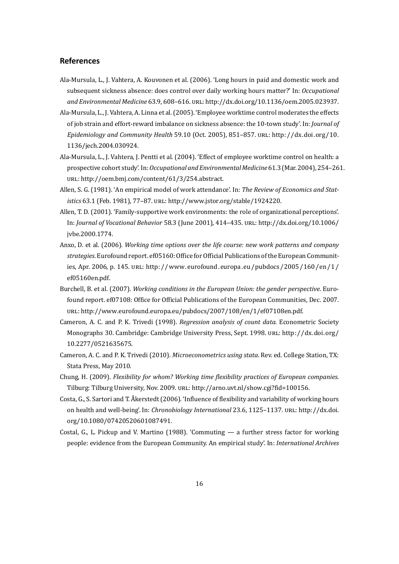### **References**

- Ala-Mursula, L., J. Vahtera, A. Kouvonen et al. (2006). 'Long hours in paid and domestic work and subsequent sickness absence: does control over daily working hours matter?' In: *Occupational* and Environmental Medicine 63.9, 608-616. URL: http://dx.doi.org/10.1136/oem.2005.023937.
- <span id="page-15-4"></span>Ala-Mursula, L., J. Vahtera, A. Linna et al. (2005). 'Employee worktime control moderates the effects of job strain and effort-reward imbalance on sickness absence: the 10-town study'. In: *Journal of Epidemiology and Community Health* 59.10 (Oct. 2005), 851-857. URL: [http://dx.doi.org/10.](http://dx.doi.org/10.1136/oem.2005.023937) 1136/jech.2004.030924.
- <span id="page-15-2"></span>Ala-Mursula, L., J. Vahtera, J. Pentti et al. (2004). 'Effect of employee worktime control on health: a prospective cohort study'. In:*Occupational and Environmental Medicine* [61.3 \(Mar. 2004\), 254–26](http://dx.doi.org/10.1136/jech.2004.030924)1. URL: [http://oem.bmj.com](http://dx.doi.org/10.1136/jech.2004.030924)/content/61/3/254.abstract.
- <span id="page-15-5"></span>Allen, S. G. (1981). 'An empirical model of work attendance'. In: *The Review of Economics and Statistics* 63.1 (Feb. 1981), 77-87. URL: http://www.jstor.org/stable/1924220.
- <span id="page-15-1"></span>Allen, [T. D. \(2001\). 'Family-supportive work environment](http://oem.bmj.com/content/61/3/254.abstract)s: the role of organizational perceptions'. In: *Journal of Vocational Behavior* 58.3 (June 2001), 414–435. Ěėđ: http://dx.doi.org/10.1006/ jvbe.2000.1774.
- <span id="page-15-0"></span>Anxo, D. et al. (2006). *Working time options over the life course: new work patterns and company strategies*. Eurofound report. ef05160: Office for Official Publication[s of the European Communit](http://dx.doi.org/10.1006/jvbe.2000.1774)[ies, Apr. 2006, p](http://dx.doi.org/10.1006/jvbe.2000.1774). 145. URL: http://www.eurofound.europa.eu/pubdocs/2005/160/en/1/ ef05160en.pdf.
- Burchell, B. et al. (2007). *Working conditions in the European Union: the gender perspective*. Eurofound report. ef07108: Offi[ce for Official Publications of the European Communities, Dec. 2007.](http://www.eurofound.europa.eu/pubdocs/2005/160/en/1/ef05160en.pdf) URL: [http://ww](http://www.eurofound.europa.eu/pubdocs/2005/160/en/1/ef05160en.pdf)w.eurofound.europa.eu/pubdocs/2007/108/en/1/ef07108en.pdf.
- <span id="page-15-7"></span>Cameron, A. C. and P. K. Trivedi (1998). *Regression analysis of count data*. Econometric Society Monographs 30. Cambridge: Cambridge University Press, Sept. 1998. unl.: http://dx.doi.org/ 10.2[277/0521635675.](http://www.eurofound.europa.eu/pubdocs/2007/108/en/1/ef07108en.pdf)
- <span id="page-15-8"></span>Cameron, A. C. and P. K. Trivedi (2010). *Microeconometrics using stata*. Rev. ed. College Station, TX: Stata Press, May 2010.
- C[hung, H. \(2009\).](http://dx.doi.org/10.2277/0521635675) *Flexibility for whom? Working time flexibility practices of European companies*. Tilburg: Tilburg University, Nov. 2009. URL: http://arno.uvt.nl/show.cgi?fid=100156.
- Costa, G., S. Sartori and T. Åkerstedt (2006). 'Influence of flexibility and variability of working hours on health and well-being'. In: *Chronobiology International* 23.6, 1125–1137. URL: http://dx.doi. org/10.1080/07420520601087491.
- <span id="page-15-6"></span><span id="page-15-3"></span>Costal, G., L. Pickup and V. Martino (1988). 'Commuting — a further stress factor for working people: evidence from the European Community. An empirical study'. In: *Interna[tional Archives](http://dx.doi.org/10.1080/07420520601087491)*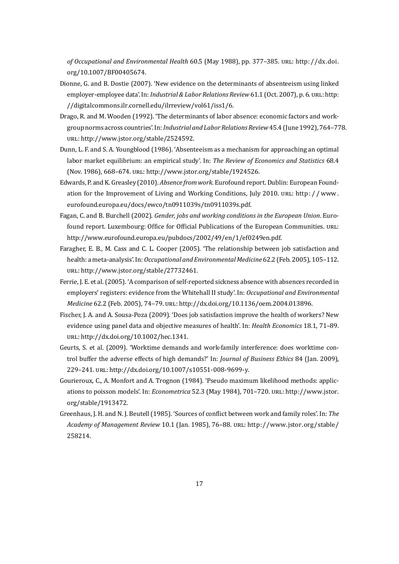*of Occupational and Environmental Health* 60.5 (May 1988), pp. 377–385. Ěėđ: http://dx.doi. org/10.1007/BF00405674.

- Dionne, G. and B. Dostie (2007). 'New evidence on the determinants of absenteeism using linked employer-employee data'. In: *Industrial & Labor Relations Review* 61.1 (Oct. 2007[\), p. 6.](http://dx.doi.org/10.1007/BF00405674) URL: http: [//digitalcommons.ilr.corne](http://dx.doi.org/10.1007/BF00405674)ll.edu/ilrreview/vol61/iss1/6.
- Drago, R. and M. Wooden (1992). 'The determinants of labor absence: economic factors and workgroup norms across countries'. In:*Industrial and Labor Relations Review* 45.4 (June 1992), 7[64–77](http://digitalcommons.ilr.cornell.edu/ilrreview/vol61/iss1/6)8. URL: [http://www.jstor.org/stable/2524592.](http://digitalcommons.ilr.cornell.edu/ilrreview/vol61/iss1/6)
- <span id="page-16-6"></span>Dunn, L. F. and S. A. Youngblood (1986). 'Absenteeism as a mechanism for approaching an optimal labor market equilibrium: an empirical study'. In: *The Review of Economics and Statistics* 68.4 (Nov. 1986), 668-674. URL: http://www.jstor.org/stable/1924526.
- Edwards, P. and K. Greasley (2010). *Absence from work*. Eurofound report. Dublin: European Foundation for the Improvement of Living and Working Conditions, July 2010. URL: http://www. eurofound.europa.eu/docs[/ewco/tn0911039s/tn0911039s.pdf.](http://www.jstor.org/stable/1924526)
- <span id="page-16-0"></span>Fagan, C. and B. Burchell (2002). *Gender, jobs and working conditions in the European Union*. Eurofound report. Luxembourg: Office for Official Publications of the European Co[mmunities.](http://www.eurofound.europa.eu/docs/ewco/tn0911039s/tn0911039s.pdf) URL: [http://www.eurofound.europa.eu/pubdocs/2002/49/en/1/ef0](http://www.eurofound.europa.eu/docs/ewco/tn0911039s/tn0911039s.pdf)249en.pdf.
- <span id="page-16-5"></span>Faragher, E. B., M. Cass and C. L. Cooper (2005). 'The relationship between job satisfaction and health: a meta-analysis'. In:*Occupational and Environmental Medicine* 62.2 (Feb. 2005), 105–112. URL: [http://www.jstor.org/stable/27732461.](http://www.eurofound.europa.eu/pubdocs/2002/49/en/1/ef0249en.pdf)
- <span id="page-16-3"></span>Ferrie, J. E. et al. (2005). 'A comparison of self-reported sickness absence with absences recorded in employers' registers: evidence from the Whitehall II study'. In: *Occupational and Environmental Medicine* 62.2 (Feb. 2005), 74-79. URL: http://dx.doi.org/10.1136/oem.2004.013896.
- Fischer, J. A. and A. Sousa-Poza (2009). 'Does job satisfaction improve the health of workers? New evidence using panel data and objective measures of health'. In: *Health Economics* 18.1, 71–89. URL: http://dx.doi.org/10.1002/hec.13[41.](http://dx.doi.org/10.1136/oem.2004.013896)
- <span id="page-16-4"></span>Geurts, S. et al. (2009). 'Worktime demands and work-family interference: does worktime control buffer the adverse effects of high demands?' In: *Journal of Business Ethics* 84 (Jan. 2009), 229–241. URL: [http://dx.doi.org/10.1007/](http://dx.doi.org/10.1002/hec.1341)s10551-008-9699-y.
- <span id="page-16-2"></span>Gourieroux, C., A. Monfort and A. Trognon (1984). 'Pseudo maximum likelihood methods: applications to poisson models'. In: *Econometrica* 52.3 (May 1984), 701-720. URL: http://www.jstor. org/stable/19[13472.](http://dx.doi.org/10.1007/s10551-008-9699-y)
- <span id="page-16-7"></span><span id="page-16-1"></span>Greenhaus, J. H. and N. J. Beutell (1985). 'Sources of conflict between work and family roles'. In: *The Academy of Management Review* 10.1 (Jan. 1985), 76–88. URL: http://www[.jstor.org/stable/](http://www.jstor.org/stable/1913472) [258214.](http://www.jstor.org/stable/1913472)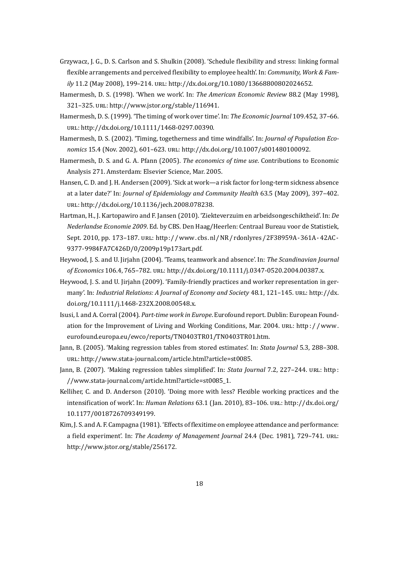- Grzywacz, J. G., D. S. Carlson and S. Shulkin (2008). 'Schedule flexibility and stress: linking formal flexible arrangements and perceived flexibility to employee health'. In: *Community, Work & Family* 11.2 (May 2008), 199-214. URL: http://dx.doi.org/10.1080/13668800802024652.
- <span id="page-17-4"></span>Hamermesh, D. S. (1998). 'When we work'. In: *The American Economic Review* 88.2 (May 1998), 321–325. URL: http://www.jstor.org/stable/116941.
- Hamermesh, D. S. (1999). 'The timing of work over time'. In: *[The Economic Journal](http://dx.doi.org/10.1080/13668800802024652)* 109.452, 37–66. URL: http://dx.doi.org/10.1111/1468-0297.00390.
- Hamermesh, D. S[. \(2002\). 'Timing, togetherness and tim](http://www.jstor.org/stable/116941)e windfalls'. In: *Journal of Population Eco*nomics 15.4 (Nov. 2002), 601-623. URL: http://dx.doi.org/10.1007/s001480100092.
- Hamer[mesh, D. S. and G. A. Pfann \(2005\).](http://dx.doi.org/10.1111/1468-0297.00390) *The economics of time use*. Contributions to Economic Analysis 271. Amsterdam: Elsevier Science, Mar. 2005.
- Hansen, C. D. and J. H. Andersen (2009). 'Si[ck at work—a risk factor for long-term sicknes](http://dx.doi.org/10.1007/s001480100092)s absence at a later date?' In: *Journal of Epidemiology and Community Health* 63.5 (May 2009), 397–402. ur. http://dx.doi.org/10.1136/jech.2008.078238.
- Hartman, H., J. Kartopawiro and F. Jansen (2010). 'Ziekteverzuim en arbeidsongeschiktheid'. In: *De Nederlandse Economie 2009*. Ed. by CBS. Den Haag/Heerlen: Centraal Bureau voor de Statistiek, Sept[. 2010, pp. 173–187.](http://dx.doi.org/10.1136/jech.2008.078238) url.: http://www.cbs.nl/NR/rdonlyres/2F38959A-361A-42AC-9377-9984FA7C426D/0/2009p19p173art.pdf.
- <span id="page-17-2"></span>Heywood, J. S. and U. Jirjahn (2004). 'Teams, teamwork and absence'. In: *The Scandinavian Journal of Economics* 106.4, 765-782. URL: [http://dx.doi.org/10.1111/j.0347-0520.2004.00387.x.](http://www.cbs.nl/NR/rdonlyres/2F38959A-361A-42AC-9377-9984FA7C426D/0/2009p19p173art.pdf)
- <span id="page-17-6"></span>H[eywood, J. S. and U. Jirjahn \(2009\). 'Family-frien](http://www.cbs.nl/NR/rdonlyres/2F38959A-361A-42AC-9377-9984FA7C426D/0/2009p19p173art.pdf)dly practices and worker representation in germany'. In: *Industrial Relations: A Journal of Economy and Society* 48.1, 121-145. URL: http://dx. doi.org/10.1111/j.1468-232X.200[8.00548.x.](http://dx.doi.org/10.1111/j.0347-0520.2004.00387.x)
- <span id="page-17-0"></span>Isusi, I. and A. Corral (2004). *Part-time work in Europe*. Eurofound report. Dublin: European Foundation for the Improvement of Living and Working Conditions, Mar. 2004. URL: http://www. [eurofound.europa.eu/ewco/reports/TN0403](http://dx.doi.org/10.1111/j.1468-232X.2008.00548.x)TR01/TN0403TR01.htm.
- <span id="page-17-5"></span>Jann, B. (2005). 'Making regression tables from stored estimates'. In: *Stata Journal* 5.3, 288–308. URL: http://www.stata-journal.com/article.html?article=st0085.
- Ja[nn, B. \(2007\). 'Making regression tables simplified'. In:](http://www.eurofound.europa.eu/ewco/reports/TN0403TR01/TN0403TR01.htm) *Stata Journal* 7.2, 227–244. URL: http: //www.stata-journal.com/article.html?article=st0085\_1.
- Kellihe[r, C. and D. Anderson \(2010\). 'Doing more with less? Flexib](http://www.stata-journal.com/article.html?article=st0085)le working practices and the intensification of work'. In: *Human Relations* 63.1 (Jan. 2010), 83-106. URL: http://dx.doi[.org/](http://www.stata-journal.com/article.html?article=st0085_1) [10.1177/0018726709349199.](http://www.stata-journal.com/article.html?article=st0085_1)
- <span id="page-17-3"></span><span id="page-17-1"></span>Kim, J. S. and A. F. Campagna (1981). 'Effects of flexitime on employee attendance and performance: a field experiment'. In: *The Academy of Management Journal* 24.4 (Dec. 19[81\), 729–741.](http://dx.doi.org/10.1177/0018726709349199) URL: [http://www.jstor.org/stable/2](http://dx.doi.org/10.1177/0018726709349199)56172.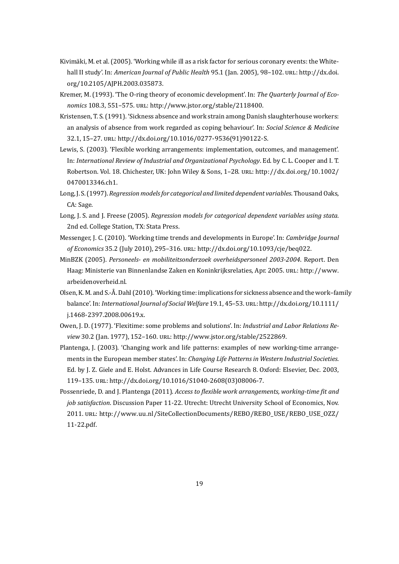- Kivimäki, M. et al. (2005). 'Working while ill as a risk factor for serious coronary events: the Whitehall II study'. In: *American Journal of Public Health* 95.1 (Jan. 2005), 98-102. URL: http://dx.doi. org/10.2105/AJPH.2003.035873.
- Kremer, M. (1993). 'The O-ring theory of economic development'. In: *The Quarterly Journal of Economics* 108.3, 551–575. URL: http://www.jstor.org/stable/2118400.
- <span id="page-18-5"></span>Kr[istensen, T. S. \(1991\). 'Sickness ab](http://dx.doi.org/10.2105/AJPH.2003.035873)sence and work strain among Danish slaughterhouse workers: an analysis of absence from work regarded as coping behaviour'. In: *Social Science & Medicine* 32.1, 15-27. URL: http://dx.[doi.org/10.1016/0277-9536\(91\)90122-](http://www.jstor.org/stable/2118400)S.
- Lewis, S. (2003). 'Flexible working arrangements: implementation, outcomes, and management'. In: *International Review of Industrial and Organizational Psychology*. Ed. by C. L. Cooper and I. T. Robertson. Vol. 18. Chichester, UK: John Wiley & Sons, 1-28. URL: http://dx.doi.org/10.1002/ 0470013346.ch1.
- <span id="page-18-2"></span>Long, J. S. (1997). *Regression models for categorical and limited dependent variables*. Thousand Oaks, CA: Sage.
- <span id="page-18-8"></span>L[ong, J. S. and J. Free](http://dx.doi.org/10.1002/0470013346.ch1)se (2005). *Regression models for categorical dependent variables using stata*. 2nd ed. College Station, TX: Stata Press.
- <span id="page-18-9"></span>Messenger, J. C. (2010). 'Working time trends and developments in Europe'. In: *Cambridge Journal of Economics* 35.2 (July 2010), 295-316. URL: http://dx.doi.org/10.1093/cje/beq022.
- <span id="page-18-0"></span>MinBZK (2005). *Personeels- en mobiliteitsonderzoek overheidspersoneel 2003-2004*. Report. Den Haag: Ministerie van Binnenlandse Zaken en Koninkrijksrelaties, Apr. 2005. URL: http://www. arbeidenoverheid.nl.
- <span id="page-18-7"></span>Olsen, K. M. and S.-Å. Dahl (2010). 'Working time: implications for sickness absence and the work–family balance'. In: *International Journal of Social Welfare* 19.1, 45–53. URL: http://dx.doi.[org/10.1111/](http://www.arbeidenoverheid.nl) [j.1468-2397.2008.00](http://www.arbeidenoverheid.nl)619.x.
- <span id="page-18-6"></span>Owen, J. D. (1977). 'Flexitime: some problems and solutions'. In: *Industrial and Labor Relations Review* 30.2 (Jan. 1977), 152-160. URL: http://www.jstor.org/stable[/2522869.](http://dx.doi.org/10.1111/j.1468-2397.2008.00619.x)
- <span id="page-18-1"></span>Pl[antenga, J. \(2003\). 'Changin](http://dx.doi.org/10.1111/j.1468-2397.2008.00619.x)g work and life patterns: examples of new working-time arrangements in the European member states'. In: *Changing Life Patterns in Western Industrial Societies*. Ed. by J. Z. Giele and E. Holst. Advan[ces in Life Course Research 8. Oxford: E](http://www.jstor.org/stable/2522869)lsevier, Dec. 2003, 119–135. URL: http://dx.doi.org/10.1016/S1040-2608(03)08006-7.
- <span id="page-18-4"></span><span id="page-18-3"></span>Possenriede, D. and J. Plantenga (2011). *Access to flexible work arrangements, working-time fit and job satisfaction*. Discussion Paper 11-22. Utrecht: Utrecht University School of Economics, Nov. 2011. URL: htt[p://www.uu.nl/SiteCollectionDocuments/REBO/REB](http://dx.doi.org/10.1016/S1040-2608(03)08006-7)O\_USE/REBO\_USE\_OZZ/ 11-22.pdf.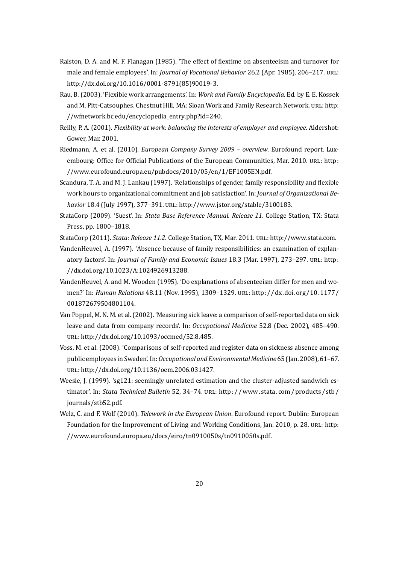- Ralston, D. A. and M. F. Flanagan (1985). 'The effect of flextime on absenteeism and turnover for male and female employees'. In: *Journal of Vocational Behavior* 26.2 (Apr. 1985), 206–217. URL: http://dx.doi.org/10.1016/0001-8791(85)90019-3.
- <span id="page-19-3"></span>Rau, B. (2003). 'Flexible work arrangements'. In: *Work and Family Encyclopedia*. Ed. by E. E. Kossek and M. Pitt-Catsouphes. Chestnut Hill, MA: Sloan Work and Family Research Network. URL: http: [//wfnetwork.bc.edu/encyclopedia\\_entry.php?id=24](http://dx.doi.org/10.1016/0001-8791(85)90019-3)0.
- <span id="page-19-2"></span>Reilly, P. A. (2001). *Flexibility at work: balancing the interests of employer and employee*. Aldershot: Gower, Mar. 2001.
- Riedmann, A. et al. (2010). *[European Company Survey 2](http://wfnetwork.bc.edu/encyclopedia_entry.php?id=240)009 overview*. Eurofound report. Luxembourg: Office for Official Publications of the European Communities, Mar. 2010. URL: http: //www.eurofound.europa.eu/pubdocs/2010/05/en/1/EF1005EN.pdf.
- <span id="page-19-0"></span>Scandura, T. A. and M. J. Lankau (1997). 'Relationships of gender, family responsibility and flexible work hours to organizational commitment and job satisfaction'. In: *Journal of Organization[al Be](http://www.eurofound.europa.eu/pubdocs/2010/05/en/1/EF1005EN.pdf)*havior 18.4 (July 1997), 377-391. URL: [http://www.jstor.org/stable/31](http://www.eurofound.europa.eu/pubdocs/2010/05/en/1/EF1005EN.pdf)00183.
- <span id="page-19-4"></span>StataCorp (2009). 'Suest'. In: *Stata Base Reference Manual. Release 11*. College Station, TX: Stata Press, pp. 1800–1818.
- StataCorp (2011). *Stata: Release 11.2*. Coll[ege Station, TX, Mar. 2011.](http://www.jstor.org/stable/3100183) URL: http://www.stata.com.
- <span id="page-19-7"></span>VandenHeuvel, A. (1997). 'Absence because of family responsibilities: an examination of explanatory factors'. In: *Journal of Family and Economic Issues* 18.3 (Mar. 1997), 273-297. URL: http: //dx.doi.org/10.1023/A:1024926913288.
- <span id="page-19-9"></span><span id="page-19-5"></span>VandenHeuvel, A. and M. Wooden (1995). 'Do explanations of absenteeism differ for men and women?' In: *Human Relations* 48.11 (Nov. 1995), 1309–1329. URL: http://dx.doi.org/10.1[177/](http://dx.doi.org/10.1023/A:1024926913288) [001872679504801104.](http://dx.doi.org/10.1023/A:1024926913288)
- <span id="page-19-6"></span>Van Poppel, M. N. M. et al. (2002). 'Measuring sick leave: a comparison of self-reported data on sick leave and data from company records'. In: *Occupational Medicine* [52.8 \(Dec. 2002\), 485–490.](http://dx.doi.org/10.1177/001872679504801104) URL: [http://dx.doi.org/1](http://dx.doi.org/10.1177/001872679504801104)0.1093/occmed/52.8.485.
- Voss, M. et al. (2008). 'Comparisons of self-reported and register data on sickness absence among public employees in Sweden'. In:*Occupational and Environmental Medicine* 65 (Jan. 2008), 61–67. URL: [http://dx.doi.org/10.1136/oem.2006.031427](http://dx.doi.org/10.1093/occmed/52.8.485).
- Weesie, J. (1999). 'sg121: seemingly unrelated estimation and the cluster-adjusted sandwich estimator'. In: *Stata Technical Bulletin* 52, 34–74. URL: http://www.stata.com/products/stb/ jour[nals/stb52.pdf.](http://dx.doi.org/10.1136/oem.2006.031427)
- <span id="page-19-8"></span><span id="page-19-1"></span>Welz, C. and F. Wolf (2010). *Telework in the European Union*. Eurofound report. Dublin: European Foundation for the Improvement of Living and Work[ing Conditions, Jan. 2010, p. 28.](http://www.stata.com/products/stb/journals/stb52.pdf) URL: http: [//www.eurofound.](http://www.stata.com/products/stb/journals/stb52.pdf)europa.eu/docs/eiro/tn0910050s/tn0910050s.pdf.